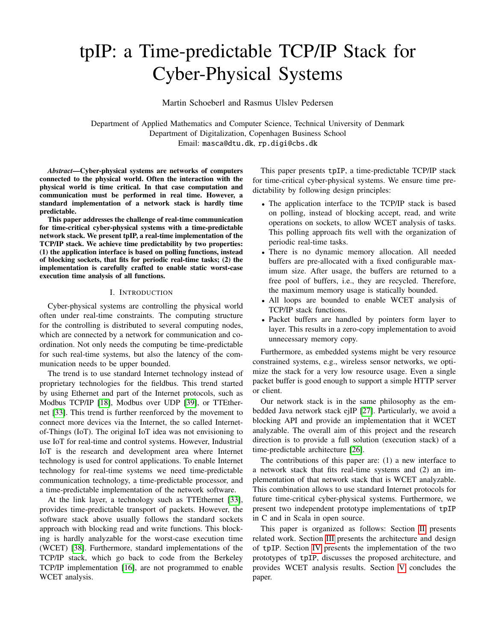# <span id="page-0-0"></span>tpIP: a Time-predictable TCP/IP Stack for Cyber-Physical Systems

Martin Schoeberl and Rasmus Ulslev Pedersen

Department of Applied Mathematics and Computer Science, Technical University of Denmark Department of Digitalization, Copenhagen Business School Email: masca@dtu.dk, rp.digi@cbs.dk

*Abstract*—Cyber-physical systems are networks of computers connected to the physical world. Often the interaction with the physical world is time critical. In that case computation and communication must be performed in real time. However, a standard implementation of a network stack is hardly time predictable.

This paper addresses the challenge of real-time communication for time-critical cyber-physical systems with a time-predictable network stack. We present tpIP, a real-time implementation of the TCP/IP stack. We achieve time predictability by two properties: (1) the application interface is based on polling functions, instead of blocking sockets, that fits for periodic real-time tasks; (2) the implementation is carefully crafted to enable static worst-case execution time analysis of all functions.

# I. INTRODUCTION

Cyber-physical systems are controlling the physical world often under real-time constraints. The computing structure for the controlling is distributed to several computing nodes, which are connected by a network for communication and coordination. Not only needs the computing be time-predictable for such real-time systems, but also the latency of the communication needs to be upper bounded.

The trend is to use standard Internet technology instead of proprietary technologies for the fieldbus. This trend started by using Ethernet and part of the Internet protocols, such as Modbus TCP/IP [\[18\]](#page-6-0), Modbus over UDP [\[39\]](#page-7-0), or TTEthernet [\[33\]](#page-7-1). This trend is further reenforced by the movement to connect more devices via the Internet, the so called Internetof-Things (IoT). The original IoT idea was not envisioning to use IoT for real-time and control systems. However, Industrial IoT is the research and development area where Internet technology is used for control applications. To enable Internet technology for real-time systems we need time-predictable communication technology, a time-predictable processor, and a time-predictable implementation of the network software.

At the link layer, a technology such as TTEthernet [\[33\]](#page-7-1), provides time-predictable transport of packets. However, the software stack above usually follows the standard sockets approach with blocking read and write functions. This blocking is hardly analyzable for the worst-case execution time (WCET) [\[38\]](#page-7-2). Furthermore, standard implementations of the TCP/IP stack, which go back to code from the Berkeley TCP/IP implementation [\[16\]](#page-6-1), are not programmed to enable WCET analysis.

This paper presents tpIP, a time-predictable TCP/IP stack for time-critical cyber-physical systems. We ensure time predictability by following design principles:

- The application interface to the TCP/IP stack is based on polling, instead of blocking accept, read, and write operations on sockets, to allow WCET analysis of tasks. This polling approach fits well with the organization of periodic real-time tasks.
- There is no dynamic memory allocation. All needed buffers are pre-allocated with a fixed configurable maximum size. After usage, the buffers are returned to a free pool of buffers, i.e., they are recycled. Therefore, the maximum memory usage is statically bounded.
- All loops are bounded to enable WCET analysis of TCP/IP stack functions.
- Packet buffers are handled by pointers form layer to layer. This results in a zero-copy implementation to avoid unnecessary memory copy.

Furthermore, as embedded systems might be very resource constrained systems, e.g., wireless sensor networks, we optimize the stack for a very low resource usage. Even a single packet buffer is good enough to support a simple HTTP server or client.

Our network stack is in the same philosophy as the embedded Java network stack ejIP [\[27\]](#page-7-3). Particularly, we avoid a blocking API and provide an implementation that it WCET analyzable. The overall aim of this project and the research direction is to provide a full solution (execution stack) of a time-predictable architecture [\[26\]](#page-7-4).

The contributions of this paper are: (1) a new interface to a network stack that fits real-time systems and (2) an implementation of that network stack that is WCET analyzable. This combination allows to use standard Internet protocols for future time-critical cyber-physical systems. Furthermore, we present two independent prototype implementations of tpIP in C and in Scala in open source.

This paper is organized as follows: Section [II](#page-1-0) presents related work. Section [III](#page-1-1) presents the architecture and design of tpIP. Section [IV](#page-4-0) presents the implementation of the two prototypes of tpIP, discusses the proposed architecture, and provides WCET analysis results. Section [V](#page-6-2) concludes the paper.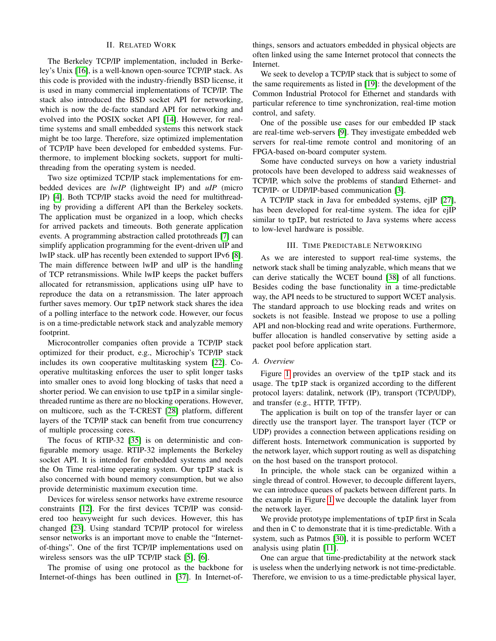# II. RELATED WORK

<span id="page-1-0"></span>The Berkeley TCP/IP implementation, included in Berkeley's Unix [\[16\]](#page-6-1), is a well-known open-source TCP/IP stack. As this code is provided with the industry-friendly BSD license, it is used in many commercial implementations of TCP/IP. The stack also introduced the BSD socket API for networking, which is now the de-facto standard API for networking and evolved into the POSIX socket API [\[14\]](#page-6-3). However, for realtime systems and small embedded systems this network stack might be too large. Therefore, size optimized implementation of TCP/IP have been developed for embedded systems. Furthermore, to implement blocking sockets, support for multithreading from the operating system is needed.

Two size optimized TCP/IP stack implementations for embedded devices are *lwIP* (lightweight IP) and *uIP* (micro IP) [\[4\]](#page-6-4). Both TCP/IP stacks avoid the need for multithreading by providing a different API than the Berkeley sockets. The application must be organized in a loop, which checks for arrived packets and timeouts. Both generate application events. A programming abstraction called protothreads [\[7\]](#page-6-5) can simplify application programming for the event-driven uIP and lwIP stack. uIP has recently been extended to support IPv6 [\[8\]](#page-6-6). The main difference between lwIP and uIP is the handling of TCP retransmissions. While lwIP keeps the packet buffers allocated for retransmission, applications using uIP have to reproduce the data on a retransmission. The later approach further saves memory. Our tpIP network stack shares the idea of a polling interface to the network code. However, our focus is on a time-predictable network stack and analyzable memory footprint.

Microcontroller companies often provide a TCP/IP stack optimized for their product, e.g., Microchip's TCP/IP stack includes its own cooperative multitasking system [\[22\]](#page-6-7). Cooperative multitasking enforces the user to split longer tasks into smaller ones to avoid long blocking of tasks that need a shorter period. We can envision to use tpIP in a similar singlethreaded runtime as there are no blocking operations. However, on multicore, such as the T-CREST [\[28\]](#page-7-5) platform, different layers of the TCP/IP stack can benefit from true concurrency of multiple processing cores.

The focus of RTIP-32 [\[35\]](#page-7-6) is on deterministic and configurable memory usage. RTIP-32 implements the Berkeley socket API. It is intended for embedded systems and needs the On Time real-time operating system. Our tpIP stack is also concerned with bound memory consumption, but we also provide deterministic maximum execution time.

Devices for wireless sensor networks have extreme resource constraints [\[12\]](#page-6-8). For the first devices TCP/IP was considered too heavyweight fur such devices. However, this has changed [\[23\]](#page-6-9). Using standard TCP/IP protocol for wireless sensor networks is an important move to enable the "Internetof-things". One of the first TCP/IP implementations used on wireless sensors was the uIP TCP/IP stack [\[5\]](#page-6-10), [\[6\]](#page-6-11).

The promise of using one protocol as the backbone for Internet-of-things has been outlined in [\[37\]](#page-7-7). In Internet-ofthings, sensors and actuators embedded in physical objects are often linked using the same Internet protocol that connects the Internet.

We seek to develop a TCP/IP stack that is subject to some of the same requirements as listed in [\[19\]](#page-6-12): the development of the Common Industrial Protocol for Ethernet and standards with particular reference to time synchronization, real-time motion control, and safety.

One of the possible use cases for our embedded IP stack are real-time web-servers [\[9\]](#page-6-13). They investigate embedded web servers for real-time remote control and monitoring of an FPGA-based on-board computer system.

Some have conducted surveys on how a variety industrial protocols have been developed to address said weaknesses of TCP/IP, which solve the problems of standard Ethernet- and TCP/IP- or UDP/IP-based communication [\[3\]](#page-6-14).

A TCP/IP stack in Java for embedded systems, ejIP [\[27\]](#page-7-3), has been developed for real-time system. The idea for ejIP similar to tpIP, but restricted to Java systems where access to low-level hardware is possible.

# III. TIME PREDICTABLE NETWORKING

<span id="page-1-1"></span>As we are interested to support real-time systems, the network stack shall be timing analyzable, which means that we can derive statically the WCET bound [\[38\]](#page-7-2) of all functions. Besides coding the base functionality in a time-predictable way, the API needs to be structured to support WCET analysis. The standard approach to use blocking reads and writes on sockets is not feasible. Instead we propose to use a polling API and non-blocking read and write operations. Furthermore, buffer allocation is handled conservative by setting aside a packet pool before application start.

## *A. Overview*

Figure [1](#page-2-0) provides an overview of the tpIP stack and its usage. The tpIP stack is organized according to the different protocol layers: datalink, network (IP), transport (TCP/UDP), and transfer (e.g., HTTP, TFTP).

The application is built on top of the transfer layer or can directly use the transport layer. The transport layer (TCP or UDP) provides a connection between applications residing on different hosts. Internetwork communication is supported by the network layer, which support routing as well as dispatching on the host based on the transport protocol.

In principle, the whole stack can be organized within a single thread of control. However, to decouple different layers, we can introduce queues of packets between different parts. In the example in Figure [1](#page-2-0) we decouple the datalink layer from the network layer.

We provide prototype implementations of tpIP first in Scala and then in C to demonstrate that it is time-predictable. With a system, such as Patmos [\[30\]](#page-7-8), it is possible to perform WCET analysis using platin [\[11\]](#page-6-15).

One can argue that time-predictability at the network stack is useless when the underlying network is not time-predictable. Therefore, we envision to us a time-predictable physical layer,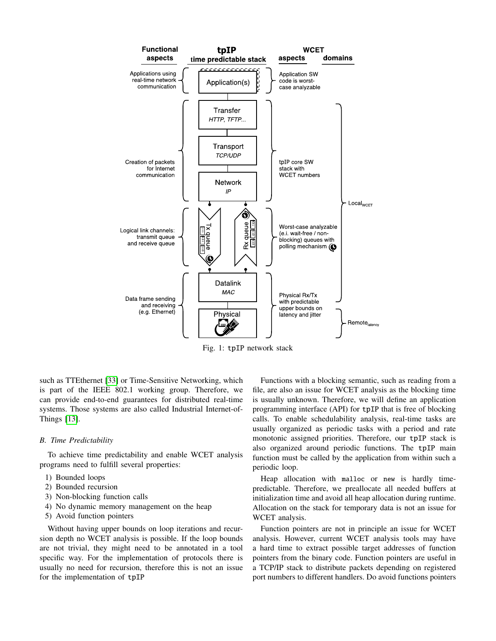<span id="page-2-0"></span>

Fig. 1: tpIP network stack

such as TTEthernet [\[33\]](#page-7-1) or Time-Sensitive Networking, which is part of the IEEE 802.1 working group. Therefore, we can provide end-to-end guarantees for distributed real-time systems. Those systems are also called Industrial Internet-of-Things [\[13\]](#page-6-16).

## *B. Time Predictability*

To achieve time predictability and enable WCET analysis programs need to fulfill several properties:

- 1) Bounded loops
- 2) Bounded recursion
- 3) Non-blocking function calls
- 4) No dynamic memory management on the heap
- 5) Avoid function pointers

Without having upper bounds on loop iterations and recursion depth no WCET analysis is possible. If the loop bounds are not trivial, they might need to be annotated in a tool specific way. For the implementation of protocols there is usually no need for recursion, therefore this is not an issue for the implementation of tpIP

Functions with a blocking semantic, such as reading from a file, are also an issue for WCET analysis as the blocking time is usually unknown. Therefore, we will define an application programming interface (API) for tpIP that is free of blocking calls. To enable schedulability analysis, real-time tasks are usually organized as periodic tasks with a period and rate monotonic assigned priorities. Therefore, our tpIP stack is also organized around periodic functions. The tpIP main function must be called by the application from within such a periodic loop.

Heap allocation with malloc or new is hardly timepredictable. Therefore, we preallocate all needed buffers at initialization time and avoid all heap allocation during runtime. Allocation on the stack for temporary data is not an issue for WCET analysis.

Function pointers are not in principle an issue for WCET analysis. However, current WCET analysis tools may have a hard time to extract possible target addresses of function pointers from the binary code. Function pointers are useful in a TCP/IP stack to distribute packets depending on registered port numbers to different handlers. Do avoid functions pointers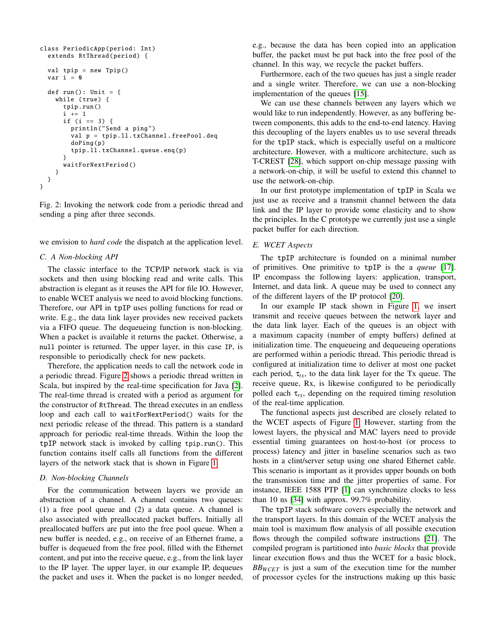```
class PeriodicApp (period: Int)
  extends RtThread(period) {
  val tpip = new Tpip()
  var i = 0def run(): Unit = {
    while (true) {
      tpip.run ()
      i += 1if (i == 3) {
        println ("Send a ping")
        val p = tpip.ll. txChannel . freePool.deq
        doPing(p)
        tpip.ll. txChannel .queue.enq(p)
      }
      waitForNextPeriod ()
    }
 }
}
```
Fig. 2: Invoking the network code from a periodic thread and sending a ping after three seconds.

we envision to *hard code* the dispatch at the application level.

# *C. A Non-blocking API*

The classic interface to the TCP/IP network stack is via sockets and then using blocking read and write calls. This abstraction is elegant as it reuses the API for file IO. However, to enable WCET analysis we need to avoid blocking functions. Therefore, our API in tpIP uses polling functions for read or write. E.g., the data link layer provides new received packets via a FIFO queue. The dequeueing function is non-blocking. When a packet is available it returns the packet. Otherwise, a null pointer is returned. The upper layer, in this case IP, is responsible to periodically check for new packets.

Therefore, the application needs to call the network code in a periodic thread. Figure [2](#page-3-0) shows a periodic thread written in Scala, but inspired by the real-time specification for Java [\[2\]](#page-6-17). The real-time thread is created with a period as argument for the constructor of RtThread. The thread executes in an endless loop and each call to waitForNextPeriod() waits for the next periodic release of the thread. This pattern is a standard approach for periodic real-time threads. Within the loop the tpIP network stack is invoked by calling tpip.run(). This function contains itself calls all functions from the different layers of the network stack that is shown in Figure [1.](#page-2-0)

## *D. Non-blocking Channels*

For the communication between layers we provide an abstraction of a channel. A channel contains two queues: (1) a free pool queue and (2) a data queue. A channel is also associated with preallocated packet buffers. Initially all preallocated buffers are put into the free pool queue. When a new buffer is needed, e.g., on receive of an Ethernet frame, a buffer is dequeued from the free pool, filled with the Ethernet content, and put into the receive queue, e.g., from the link layer to the IP layer. The upper layer, in our example IP, dequeues the packet and uses it. When the packet is no longer needed, e.g., because the data has been copied into an application buffer, the packet must be put back into the free pool of the channel. In this way, we recycle the packet buffers.

Furthermore, each of the two queues has just a single reader and a single writer. Therefore, we can use a non-blocking implementation of the queues [\[15\]](#page-6-18).

We can use these channels between any layers which we would like to run independently. However, as any buffering between components, this adds to the end-to-end latency. Having this decoupling of the layers enables us to use several threads for the tpIP stack, which is especially useful on a multicore architecture. However, with a multicore architecture, such as T-CREST [\[28\]](#page-7-5), which support on-chip message passing with a network-on-chip, it will be useful to extend this channel to use the network-on-chip.

In our first prototype implementation of tpIP in Scala we just use as receive and a transmit channel between the data link and the IP layer to provide some elasticity and to show the principles. In the C prototype we currently just use a single packet buffer for each direction.

# *E. WCET Aspects*

The tpIP architecture is founded on a minimal number of primitives. One primitive to tpIP is the a *queue* [\[17\]](#page-6-19). IP encompass the following layers: application, transport, Internet, and data link. A queue may be used to connect any of the different layers of the IP protocol [\[20\]](#page-6-20).

In our example IP stack shown in Figure [1,](#page-2-0) we insert transmit and receive queues between the network layer and the data link layer. Each of the queues is an object with a maximum capacity (number of empty buffers) defined at initialization time. The enqueueing and dequeueing operations are performed within a periodic thread. This periodic thread is configured at initialization time to deliver at most one packet each period,  $\tau_{tx}$ , to the data link layer for the Tx queue. The receive queue, Rx, is likewise configured to be periodically polled each  $\tau_{rx}$ , depending on the required timing resolution of the real-time application.

The functional aspects just described are closely related to the WCET aspects of Figure [1.](#page-2-0) However, starting from the lowest layers, the physical and MAC layers need to provide essential timing guarantees on host-to-host (or process to process) latency and jitter in baseline scenarios such as two hosts in a clint/server setup using one shared Ethernet cable. This scenario is important as it provides upper bounds on both the transmission time and the jitter properties of same. For instance, IEEE 1588 PTP [\[1\]](#page-6-21) can synchronize clocks to less than 10 ns [\[34\]](#page-7-9) with approx. 99.7% probability.

The tpIP stack software covers especially the network and the transport layers. In this domain of the WCET analysis the main tool is maximum flow analysis of all possible execution flows through the compiled software instructions [\[21\]](#page-6-22). The compiled program is partitioned into *basic blocks* that provide linear execution flows and thus the WCET for a basic block, *BBWCET* is just a sum of the execution time for the number of processor cycles for the instructions making up this basic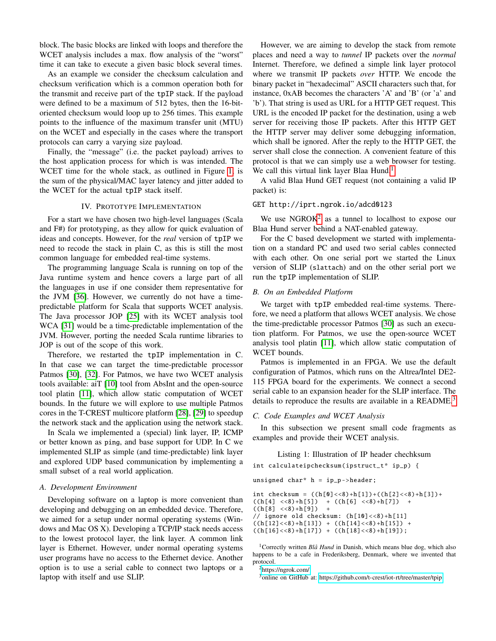block. The basic blocks are linked with loops and therefore the WCET analysis includes a max. flow analysis of the "worst" time it can take to execute a given basic block several times.

As an example we consider the checksum calculation and checksum verification which is a common operation both for the transmit and receive part of the tpIP stack. If the payload were defined to be a maximum of 512 bytes, then the 16-bitoriented checksum would loop up to 256 times. This example points to the influence of the maximum transfer unit (MTU) on the WCET and especially in the cases where the transport protocols can carry a varying size payload.

Finally, the "message" (i.e. the packet payload) arrives to the host application process for which is was intended. The WCET time for the whole stack, as outlined in Figure [1,](#page-2-0) is the sum of the physical/MAC layer latency and jitter added to the WCET for the actual tpIP stack itself.

# IV. PROTOTYPE IMPLEMENTATION

<span id="page-4-0"></span>For a start we have chosen two high-level languages (Scala and F#) for prototyping, as they allow for quick evaluation of ideas and concepts. However, for the *real* version of tpIP we need to recode the stack in plain C, as this is still the most common language for embedded real-time systems.

The programming language Scala is running on top of the Java runtime system and hence covers a large part of all the languages in use if one consider them representative for the JVM [\[36\]](#page-7-10). However, we currently do not have a timepredictable platform for Scala that supports WCET analysis. The Java processor JOP [\[25\]](#page-6-23) with its WCET analysis tool WCA [\[31\]](#page-7-11) would be a time-predictable implementation of the JVM. However, porting the needed Scala runtime libraries to JOP is out of the scope of this work.

Therefore, we restarted the tpIP implementation in C. In that case we can target the time-predictable processor Patmos [\[30\]](#page-7-8), [\[32\]](#page-7-12). For Patmos, we have two WCET analysis tools available: aiT [\[10\]](#page-6-24) tool from AbsInt and the open-source tool platin [\[11\]](#page-6-15), which allow static computation of WCET bounds. In the future we will explore to use multiple Patmos cores in the T-CREST multicore platform [\[28\]](#page-7-5), [\[29\]](#page-7-13) to speedup the network stack and the application using the network stack.

In Scala we implemented a (special) link layer, IP, ICMP or better known as ping, and base support for UDP. In C we implemented SLIP as simple (and time-predictable) link layer and explored UDP based communication by implementing a small subset of a real world application.

# *A. Development Environment*

Developing software on a laptop is more convenient than developing and debugging on an embedded device. Therefore, we aimed for a setup under normal operating systems (Windows and Mac OS X). Developing a TCP/IP stack needs access to the lowest protocol layer, the link layer. A common link layer is Ethernet. However, under normal operating systems user programs have no access to the Ethernet device. Another option is to use a serial cable to connect two laptops or a laptop with itself and use SLIP.

However, we are aiming to develop the stack from remote places and need a way to *tunnel* IP packets over the *normal* Internet. Therefore, we defined a simple link layer protocol where we transmit IP packets *over* HTTP. We encode the binary packet in "hexadecimal" ASCII characters such that, for instance, 0xAB becomes the characters 'A' and 'B' (or 'a' and 'b'). That string is used as URL for a HTTP GET request. This URL is the encoded IP packet for the destination, using a web server for receiving those IP packets. After this HTTP GET the HTTP server may deliver some debugging information, which shall be ignored. After the reply to the HTTP GET, the server shall close the connection. A convenient feature of this protocol is that we can simply use a web browser for testing. We call this virtual link layer Blaa Hund.<sup>[1](#page-0-0)</sup>

A valid Blaa Hund GET request (not containing a valid IP packet) is:

# GET http://iprt.ngrok.io/adcd0123

We use  $NGROK<sup>2</sup>$  $NGROK<sup>2</sup>$  $NGROK<sup>2</sup>$  as a tunnel to localhost to expose our Blaa Hund server behind a NAT-enabled gateway.

For the C based development we started with implementation on a standard PC and used two serial cables connected with each other. On one serial port we started the Linux version of SLIP (slattach) and on the other serial port we run the tpIP implementation of SLIP.

## *B. On an Embedded Platform*

We target with tpIP embedded real-time systems. Therefore, we need a platform that allows WCET analysis. We chose the time-predictable processor Patmos [\[30\]](#page-7-8) as such an execution platform. For Patmos, we use the open-source WCET analysis tool platin [\[11\]](#page-6-15), which allow static computation of WCET bounds.

Patmos is implemented in an FPGA. We use the default configuration of Patmos, which runs on the Altrea/Intel DE2- 115 FPGA board for the experiments. We connect a second serial cable to an expansion header for the SLIP interface. The details to reproduce the results are available in a README.<sup>[3](#page-0-0)</sup>

## *C. Code Examples and WCET Analysis*

In this subsection we present small code fragments as examples and provide their WCET analysis.

<span id="page-4-1"></span>Listing 1: Illustration of IP header chechksum int calculateipchecksum (ipstruct\_t\* ip\_p) {

```
unsigned char* h = ip_p->header;
```

```
int checksum = ((h[0]<&lt;8)+h[1]) +((h[2]<&lt;8)+h[3]) +((h[4]<&lt;8)+h[5]) +((h[6]<&lt;8)+h[7]) ++ ((h[6] << 8) + h[7]) +
((h[8] < <8)+h[9])// ignore old checksum: (h[10]<1)((h[12]<&lt;8)+h[13]) + ((h[14]<&lt;8)+h[15]) +((h[16]<8)+h[17]) + ((h[18]<8)+h[19]);
```
<sup>1</sup>Correctly written *Blå Hund* in Danish, which means blue dog, which also happens to be a cafe in Frederiksberg, Denmark, where we invented that protocol.

<sup>2</sup><https://ngrok.com/>

<sup>3</sup>online on GitHub at:<https://github.com/t-crest/iot-rt/tree/master/tpip>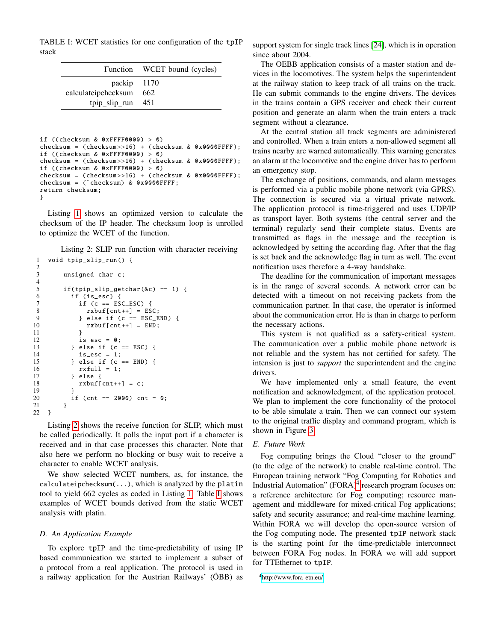<span id="page-5-1"></span>TABLE I: WCET statistics for one configuration of the tpIP stack

|                                                               | Function WCET bound (cycles) |
|---------------------------------------------------------------|------------------------------|
| packip 1170<br>calculateipchecksum 662<br>tpip slip run $451$ |                              |

```
if ((checksum & 0xFFFF0000) > 0)
checksum = (checksum) + (checksum) & 0x0000FFFF);
if ((checksum & 0xFFFF0000) > 0)
checksum = (checksum) + (checksum) & 0x0000FFFF);
if ((checksum & 0xFFFF0000) > 0)
checksum = (checksum >16) + (checksum & 0x0000FFFF);
checksum = ("checksum) & 0x0000FFFF;
return checksum;
}
```
Listing [1](#page-4-1) shows an optimized version to calculate the checksum of the IP header. The checksum loop is unrolled to optimize the WCET of the function.

<span id="page-5-0"></span>Listing 2: SLIP run function with character receiving 1 void tpip\_slip\_run () {

```
\frac{2}{3}unsigned char c;
\frac{4}{5}if(tpip_slip_getchar (&c) == 1) {
6 if (is_esc) {<br>7 if (c == ES
              if (c == \text{ESC\_ESC}) {
8 rxbuf[cnt++] = ESC;9 } else if (c == ESC_END) {
10 r \times buf[cnt++) = END;11 }
12 is_esc = 0;
13 } else if (c == ESC) {<br>14 <br>is esc = 1:
              is\_esc = 1;
15 } else if (c == END) {<br>16 <br>rxfull = 1:
16 rxfull = 1;<br>17 } else {
            } else \{18 rxbuf[cnt++] = c;19 }
           if (cnt == 2000) cnt = 0;
\begin{matrix} 21 & 3 \\ 22 & 3 \end{matrix}22 }
```
Listing [2](#page-5-0) shows the receive function for SLIP, which must be called periodically. It polls the input port if a character is received and in that case processes this character. Note that also here we perform no blocking or busy wait to receive a character to enable WCET analysis.

We show selected WCET numbers, as, for instance, the calculateipchecksum(...), which is analyzed by the platin tool to yield 662 cycles as coded in Listing [1.](#page-4-1) Table [I](#page-5-1) shows examples of WCET bounds derived from the static WCET analysis with platin.

## *D. An Application Example*

To explore tpIP and the time-predictability of using IP based communication we started to implement a subset of a protocol from a real application. The protocol is used in a railway application for the Austrian Railways' (OBB) as

support system for single track lines [\[24\]](#page-6-25), which is in operation since about 2004.

The OEBB application consists of a master station and devices in the locomotives. The system helps the superintendent at the railway station to keep track of all trains on the track. He can submit commands to the engine drivers. The devices in the trains contain a GPS receiver and check their current position and generate an alarm when the train enters a track segment without a clearance.

At the central station all track segments are administered and controlled. When a train enters a non-allowed segment all trains nearby are warned automatically. This warning generates an alarm at the locomotive and the engine driver has to perform an emergency stop.

The exchange of positions, commands, and alarm messages is performed via a public mobile phone network (via GPRS). The connection is secured via a virtual private network. The application protocol is time-triggered and uses UDP/IP as transport layer. Both systems (the central server and the terminal) regularly send their complete status. Events are transmitted as flags in the message and the reception is acknowledged by setting the according flag. After that the flag is set back and the acknowledge flag in turn as well. The event notification uses therefore a 4-way handshake.

The deadline for the communication of important messages is in the range of several seconds. A network error can be detected with a timeout on not receiving packets from the communication partner. In that case, the operator is informed about the communication error. He is than in charge to perform the necessary actions.

This system is not qualified as a safety-critical system. The communication over a public mobile phone network is not reliable and the system has not certified for safety. The intension is just to *support* the superintendent and the engine drivers.

We have implemented only a small feature, the event notification and acknowledgment, of the application protocol. We plan to implement the core functionality of the protocol to be able simulate a train. Then we can connect our system to the original traffic display and command program, which is shown in Figure [3.](#page-6-26)

# *E. Future Work*

Fog computing brings the Cloud "closer to the ground" (to the edge of the network) to enable real-time control. The European training network "Fog Computing for Robotics and Industrial Automation" (FORA) $4$  research program focuses on: a reference architecture for Fog computing; resource management and middleware for mixed-critical Fog applications; safety and security assurance; and real-time machine learning. Within FORA we will develop the open-source version of the Fog computing node. The presented tpIP network stack is the starting point for the time-predictable interconnect between FORA Fog nodes. In FORA we will add support for TTEthernet to tpIP.

<sup>4</sup><http://www.fora-etn.eu/>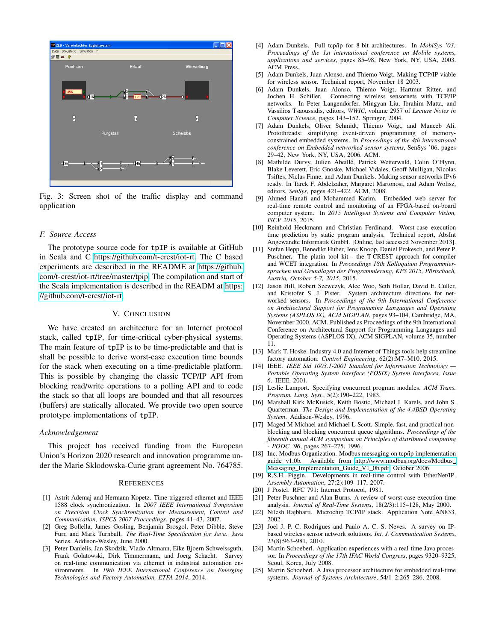<span id="page-6-26"></span>

Fig. 3: Screen shot of the traffic display and command application

### *F. Source Access*

The prototype source code for tpIP is available at GitHub in Scala and C [https://github.com/t-crest/iot-rt.](https://github.com/t-crest/iot-rt) The C based experiments are described in the README at [https://github.](https://github.com/t-crest/iot-rt/tree/master/tpip) [com/t-crest/iot-rt/tree/master/tpip.](https://github.com/t-crest/iot-rt/tree/master/tpip) The compilation and start of the Scala implementation is described in the READM at [https:](https://github.com/t-crest/iot-rt) [//github.com/t-crest/iot-rt.](https://github.com/t-crest/iot-rt)

### V. CONCLUSION

<span id="page-6-2"></span>We have created an architecture for an Internet protocol stack, called tpIP, for time-critical cyber-physical systems. The main feature of tpIP is to be time-predictable and that is shall be possible to derive worst-case execution time bounds for the stack when executing on a time-predictable platform. This is possible by changing the classic TCP/IP API from blocking read/write operations to a polling API and to code the stack so that all loops are bounded and that all resources (buffers) are statically allocated. We provide two open source prototype implementations of tpIP.

# *Acknowledgement*

This project has received funding from the European Union's Horizon 2020 research and innovation programme under the Marie Sklodowska-Curie grant agreement No. 764785.

#### **REFERENCES**

- <span id="page-6-21"></span>[1] Astrit Ademaj and Hermann Kopetz. Time-triggered ethernet and IEEE 1588 clock synchronization. In *2007 IEEE International Symposium on Precision Clock Synchronization for Measurement, Control and Communication, ISPCS 2007 Proceedings*, pages 41–43, 2007.
- <span id="page-6-17"></span>[2] Greg Bollella, James Gosling, Benjamin Brosgol, Peter Dibble, Steve Furr, and Mark Turnbull. *The Real-Time Specification for Java*. Java Series. Addison-Wesley, June 2000.
- <span id="page-6-14"></span>[3] Peter Danielis, Jan Skodzik, Vlado Altmann, Eike Bjoern Schweissguth, Frank Golatowski, Dirk Timmermann, and Joerg Schacht. Survey on real-time communication via ethernet in industrial automation environments. In *19th IEEE International Conference on Emerging Technologies and Factory Automation, ETFA 2014*, 2014.
- <span id="page-6-4"></span>[4] Adam Dunkels. Full tcp/ip for 8-bit architectures. In *MobiSys '03: Proceedings of the 1st international conference on Mobile systems, applications and services*, pages 85–98, New York, NY, USA, 2003. ACM Press.
- <span id="page-6-10"></span>[5] Adam Dunkels, Juan Alonso, and Thiemo Voigt. Making TCP/IP viable for wireless sensor. Technical report, November 18 2003.
- <span id="page-6-11"></span>[6] Adam Dunkels, Juan Alonso, Thiemo Voigt, Hartmut Ritter, and Jochen H. Schiller. Connecting wireless sensornets with TCP/IP networks. In Peter Langendörfer, Mingyan Liu, Ibrahim Matta, and Vassilios Tsaoussidis, editors, *WWIC*, volume 2957 of *Lecture Notes in Computer Science*, pages 143–152. Springer, 2004.
- <span id="page-6-5"></span>[7] Adam Dunkels, Oliver Schmidt, Thiemo Voigt, and Muneeb Ali. Protothreads: simplifying event-driven programming of memoryconstrained embedded systems. In *Proceedings of the 4th international conference on Embedded networked sensor systems*, SenSys '06, pages 29–42, New York, NY, USA, 2006. ACM.
- <span id="page-6-6"></span>[8] Mathilde Durvy, Julien Abeillé, Patrick Wetterwald, Colin O'Flynn, Blake Leverett, Eric Gnoske, Michael Vidales, Geoff Mulligan, Nicolas Tsiftes, Niclas Finne, and Adam Dunkels. Making sensor networks IPv6 ready. In Tarek F. Abdelzaher, Margaret Martonosi, and Adam Wolisz, editors, *SenSys*, pages 421–422. ACM, 2008.
- <span id="page-6-13"></span>[9] Ahmed Hanafi and Mohammed Karim. Embedded web server for real-time remote control and monitoring of an FPGA-based on-board computer system. In *2015 Intelligent Systems and Computer Vision, ISCV 2015*, 2015.
- <span id="page-6-24"></span>[10] Reinhold Heckmann and Christian Ferdinand. Worst-case execution time prediction by static program analysis. Technical report, AbsInt Angewandte Informatik GmbH. [Online, last accessed November 2013].
- <span id="page-6-15"></span>[11] Stefan Hepp, Benedikt Huber, Jens Knoop, Daniel Prokesch, and Peter P. Puschner. The platin tool kit - the T-CREST approach for compiler and WCET integration. In *Proceedings 18th Kolloquium Programmiersprachen und Grundlagen der Programmierung, KPS 2015, Portschach, ¨ Austria, October 5-7, 2015*, 2015.
- <span id="page-6-8"></span>[12] Jason Hill, Robert Szewczyk, Alec Woo, Seth Hollar, David E. Culler, and Kristofer S. J. Pister. System architecture directions for networked sensors. In *Proceedings of the 9th International Conference on Architectural Support for Programming Languages and Operating Systems (ASPLOS IX), ACM SIGPLAN*, pages 93–104, Cambridge, MA, November 2000. ACM. Published as Proceedings of the 9th International Conference on Architectural Support for Programming Languages and Operating Systems (ASPLOS IX), ACM SIGPLAN, volume 35, number 11.
- <span id="page-6-16"></span>[13] Mark T. Hoske. Industry 4.0 and Internet of Things tools help streamline factory automation. *Control Engineering*, 62(2):M7–M10, 2015.
- <span id="page-6-3"></span>[14] IEEE. *IEEE Std 1003.1-2001 Standard for Information Technology — Portable Operating System Interface (POSIX) System Interfaces, Issue 6*. IEEE, 2001.
- <span id="page-6-18"></span>[15] Leslie Lamport. Specifying concurrent program modules. *ACM Trans. Program. Lang. Syst.*, 5(2):190–222, 1983.
- <span id="page-6-1"></span>[16] Marshall Kirk McKusick, Keith Bostic, Michael J. Karels, and John S. Quarterman. *The Design and Implementation of the 4.4BSD Operating System*. Addison-Wesley, 1996.
- <span id="page-6-19"></span>[17] Maged M Michael and Michael L Scott. Simple, fast, and practical nonblocking and blocking concurrent queue algorithms. *Proceedings of the fifteenth annual ACM symposium on Principles of distributed computing - PODC '96*, pages 267–275, 1996.
- <span id="page-6-0"></span>[18] Inc. Modbus Organization. Modbus messaging on tcp/ip implementation guide v1.0b. Available from [http://www.modbus.org/docs/Modbus](http://www.modbus.org/docs/Modbus_Messaging_Implementation_Guide_V1_0b.pdf) Messaging\_[Implementation](http://www.modbus.org/docs/Modbus_Messaging_Implementation_Guide_V1_0b.pdf)\_Guide\_V1\_0b.pdf, October 2006.
- <span id="page-6-12"></span>[19] R.S.H. Piggin. Developments in real-time control with EtherNet/IP. *Assembly Automation*, 27(2):109–117, 2007.
- <span id="page-6-20"></span>[20] J Postel. RFC 791: Internet Protocol, 1981.
- <span id="page-6-22"></span>[21] Peter Puschner and Alan Burns. A review of worst-case execution-time analysis. *Journal of Real-Time Systems*, 18(2/3):115–128, May 2000.
- <span id="page-6-7"></span>[22] Nilesh Rajbharti. Microchip TCP/IP stack. Application Note AN833, 2002.
- <span id="page-6-9"></span>[23] Joel J. P. C. Rodrigues and Paulo A. C. S. Neves. A survey on IPbased wireless sensor network solutions. *Int. J. Communication Systems*, 23(8):963–981, 2010.
- <span id="page-6-25"></span>[24] Martin Schoeberl. Application experiences with a real-time Java processor. In *Proceedings of the 17th IFAC World Congress*, pages 9320–9325, Seoul, Korea, July 2008.
- <span id="page-6-23"></span>[25] Martin Schoeberl. A Java processor architecture for embedded real-time systems. *Journal of Systems Architecture*, 54/1–2:265–286, 2008.